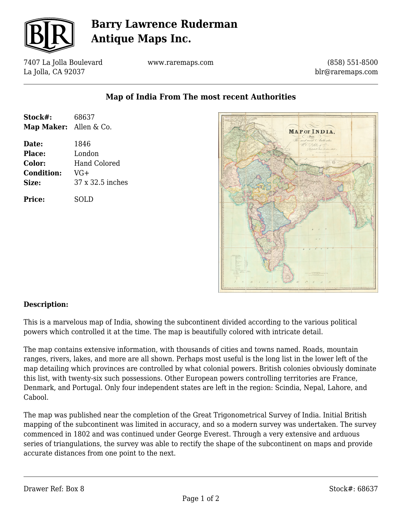

# **Barry Lawrence Ruderman Antique Maps Inc.**

7407 La Jolla Boulevard La Jolla, CA 92037

**Stock#:** 68637 **Map Maker:** Allen & Co.

**Date:** 1846 **Place:** London

**Condition:** VG+

**Price:** SOLD

**Color:** Hand Colored

**Size:** 37 x 32.5 inches

www.raremaps.com

(858) 551-8500 blr@raremaps.com



## **Map of India From The most recent Authorities**

### **Description:**

This is a marvelous map of India, showing the subcontinent divided according to the various political powers which controlled it at the time. The map is beautifully colored with intricate detail.

The map contains extensive information, with thousands of cities and towns named. Roads, mountain ranges, rivers, lakes, and more are all shown. Perhaps most useful is the long list in the lower left of the map detailing which provinces are controlled by what colonial powers. British colonies obviously dominate this list, with twenty-six such possessions. Other European powers controlling territories are France, Denmark, and Portugal. Only four independent states are left in the region: Scindia, Nepal, Lahore, and Cabool.

The map was published near the completion of the Great Trigonometrical Survey of India. Initial British mapping of the subcontinent was limited in accuracy, and so a modern survey was undertaken. The survey commenced in 1802 and was continued under George Everest. Through a very extensive and arduous series of triangulations, the survey was able to rectify the shape of the subcontinent on maps and provide accurate distances from one point to the next.